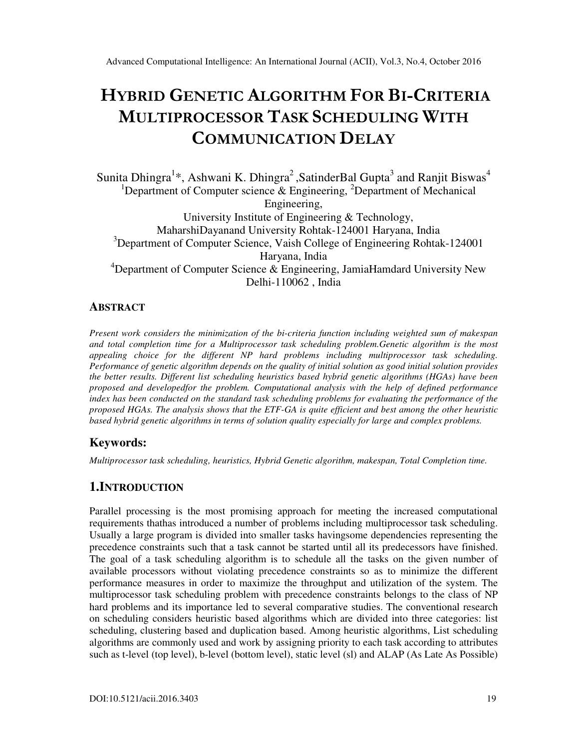# **HYBRID GENETIC ALGORITHM FOR BI-CRITERIA MULTIPROCESSOR TASK SCHEDULING WITH COMMUNICATION DELAY**

Sunita Dhingra<sup>1\*</sup>, Ashwani K. Dhingra<sup>2</sup>, SatinderBal Gupta<sup>3</sup> and Ranjit Biswas<sup>4</sup> <sup>1</sup>Department of Computer science  $\&$  Engineering, <sup>2</sup>Department of Mechanical Engineering, University Institute of Engineering & Technology, MaharshiDayanand University Rohtak-124001 Haryana, India <sup>3</sup>Department of Computer Science, Vaish College of Engineering Rohtak-124001 Haryana, India <sup>4</sup>Department of Computer Science & Engineering, JamiaHamdard University New Delhi-110062 , India

## **ABSTRACT**

*Present work considers the minimization of the bi-criteria function including weighted sum of makespan and total completion time for a Multiprocessor task scheduling problem.Genetic algorithm is the most appealing choice for the different NP hard problems including multiprocessor task scheduling. Performance of genetic algorithm depends on the quality of initial solution as good initial solution provides the better results. Different list scheduling heuristics based hybrid genetic algorithms (HGAs) have been proposed and developedfor the problem. Computational analysis with the help of defined performance index has been conducted on the standard task scheduling problems for evaluating the performance of the proposed HGAs. The analysis shows that the ETF-GA is quite efficient and best among the other heuristic based hybrid genetic algorithms in terms of solution quality especially for large and complex problems.*

# **Keywords:**

*Multiprocessor task scheduling, heuristics, Hybrid Genetic algorithm, makespan, Total Completion time.*

# **1.INTRODUCTION**

Parallel processing is the most promising approach for meeting the increased computational requirements thathas introduced a number of problems including multiprocessor task scheduling. Usually a large program is divided into smaller tasks havingsome dependencies representing the precedence constraints such that a task cannot be started until all its predecessors have finished. The goal of a task scheduling algorithm is to schedule all the tasks on the given number of available processors without violating precedence constraints so as to minimize the different performance measures in order to maximize the throughput and utilization of the system. The multiprocessor task scheduling problem with precedence constraints belongs to the class of NP hard problems and its importance led to several comparative studies. The conventional research on scheduling considers heuristic based algorithms which are divided into three categories: list scheduling, clustering based and duplication based. Among heuristic algorithms, List scheduling algorithms are commonly used and work by assigning priority to each task according to attributes such as t-level (top level), b-level (bottom level), static level (sl) and ALAP (As Late As Possible)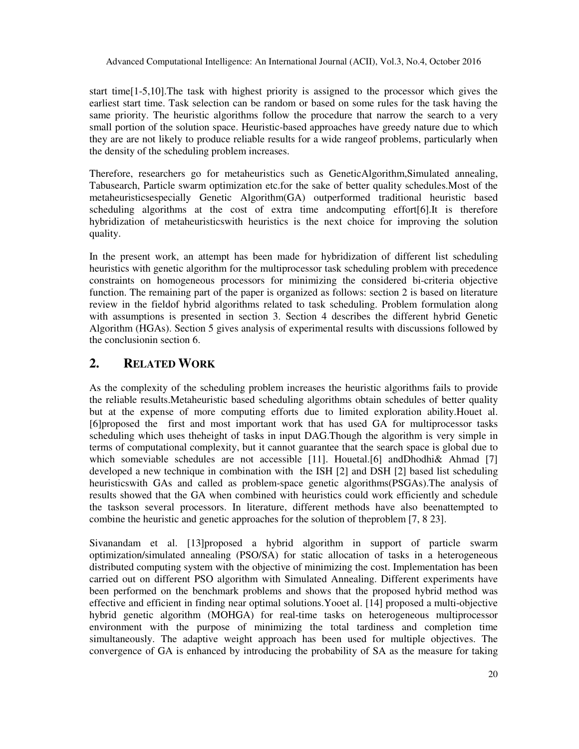start time[1-5,10].The task with highest priority is assigned to the processor which gives the earliest start time. Task selection can be random or based on some rules for the task having the same priority. The heuristic algorithms follow the procedure that narrow the search to a very small portion of the solution space. Heuristic-based approaches have greedy nature due to which they are are not likely to produce reliable results for a wide rangeof problems, particularly when the density of the scheduling problem increases.

Therefore, researchers go for metaheuristics such as GeneticAlgorithm,Simulated annealing, Tabusearch, Particle swarm optimization etc.for the sake of better quality schedules.Most of the metaheuristicsespecially Genetic Algorithm(GA) outperformed traditional heuristic based scheduling algorithms at the cost of extra time andcomputing effort[6].It is therefore hybridization of metaheuristicswith heuristics is the next choice for improving the solution quality.

In the present work, an attempt has been made for hybridization of different list scheduling heuristics with genetic algorithm for the multiprocessor task scheduling problem with precedence constraints on homogeneous processors for minimizing the considered bi-criteria objective function. The remaining part of the paper is organized as follows: section 2 is based on literature review in the fieldof hybrid algorithms related to task scheduling. Problem formulation along with assumptions is presented in section 3. Section 4 describes the different hybrid Genetic Algorithm (HGAs). Section 5 gives analysis of experimental results with discussions followed by the conclusionin section 6.

## **2. RELATED WORK**

As the complexity of the scheduling problem increases the heuristic algorithms fails to provide the reliable results.Metaheuristic based scheduling algorithms obtain schedules of better quality but at the expense of more computing efforts due to limited exploration ability.Houet al. [6]proposed the first and most important work that has used GA for multiprocessor tasks scheduling which uses theheight of tasks in input DAG.Though the algorithm is very simple in terms of computational complexity, but it cannot guarantee that the search space is global due to which someviable schedules are not accessible [11]. Houetal.[6] andDhodhi& Ahmad [7] developed a new technique in combination with the ISH [2] and DSH [2] based list scheduling heuristicswith GAs and called as problem-space genetic algorithms(PSGAs).The analysis of results showed that the GA when combined with heuristics could work efficiently and schedule the taskson several processors. In literature, different methods have also beenattempted to combine the heuristic and genetic approaches for the solution of theproblem [7, 8 23].

Sivanandam et al. [13]proposed a hybrid algorithm in support of particle swarm optimization/simulated annealing (PSO/SA) for static allocation of tasks in a heterogeneous distributed computing system with the objective of minimizing the cost. Implementation has been carried out on different PSO algorithm with Simulated Annealing. Different experiments have been performed on the benchmark problems and shows that the proposed hybrid method was effective and efficient in finding near optimal solutions.Yooet al. [14] proposed a multi-objective hybrid genetic algorithm (MOHGA) for real-time tasks on heterogeneous multiprocessor environment with the purpose of minimizing the total tardiness and completion time simultaneously. The adaptive weight approach has been used for multiple objectives. The convergence of GA is enhanced by introducing the probability of SA as the measure for taking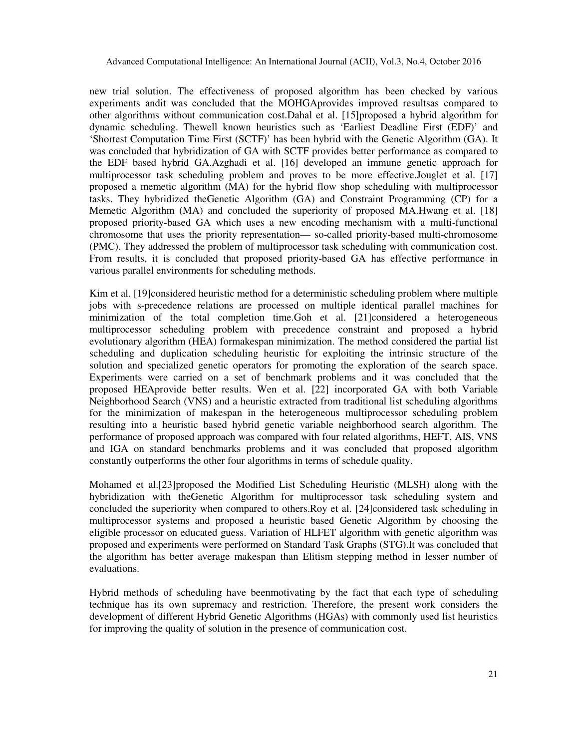new trial solution. The effectiveness of proposed algorithm has been checked by various experiments andit was concluded that the MOHGAprovides improved resultsas compared to other algorithms without communication cost.Dahal et al. [15]proposed a hybrid algorithm for dynamic scheduling. Thewell known heuristics such as 'Earliest Deadline First (EDF)' and 'Shortest Computation Time First (SCTF)' has been hybrid with the Genetic Algorithm (GA). It was concluded that hybridization of GA with SCTF provides better performance as compared to the EDF based hybrid GA.Azghadi et al. [16] developed an immune genetic approach for multiprocessor task scheduling problem and proves to be more effective.Jouglet et al. [17] proposed a memetic algorithm (MA) for the hybrid flow shop scheduling with multiprocessor tasks. They hybridized theGenetic Algorithm (GA) and Constraint Programming (CP) for a Memetic Algorithm (MA) and concluded the superiority of proposed MA.Hwang et al. [18] proposed priority-based GA which uses a new encoding mechanism with a multi-functional chromosome that uses the priority representation— so-called priority-based multi-chromosome (PMC). They addressed the problem of multiprocessor task scheduling with communication cost. From results, it is concluded that proposed priority-based GA has effective performance in various parallel environments for scheduling methods.

Kim et al. [19]considered heuristic method for a deterministic scheduling problem where multiple jobs with s-precedence relations are processed on multiple identical parallel machines for minimization of the total completion time.Goh et al. [21]considered a heterogeneous multiprocessor scheduling problem with precedence constraint and proposed a hybrid evolutionary algorithm (HEA) formakespan minimization. The method considered the partial list scheduling and duplication scheduling heuristic for exploiting the intrinsic structure of the solution and specialized genetic operators for promoting the exploration of the search space. Experiments were carried on a set of benchmark problems and it was concluded that the proposed HEAprovide better results. Wen et al. [22] incorporated GA with both Variable Neighborhood Search (VNS) and a heuristic extracted from traditional list scheduling algorithms for the minimization of makespan in the heterogeneous multiprocessor scheduling problem resulting into a heuristic based hybrid genetic variable neighborhood search algorithm. The performance of proposed approach was compared with four related algorithms, HEFT, AIS, VNS and IGA on standard benchmarks problems and it was concluded that proposed algorithm constantly outperforms the other four algorithms in terms of schedule quality.

Mohamed et al.[23]proposed the Modified List Scheduling Heuristic (MLSH) along with the hybridization with theGenetic Algorithm for multiprocessor task scheduling system and concluded the superiority when compared to others. Roy et al. [24] considered task scheduling in multiprocessor systems and proposed a heuristic based Genetic Algorithm by choosing the eligible processor on educated guess. Variation of HLFET algorithm with genetic algorithm was proposed and experiments were performed on Standard Task Graphs (STG).It was concluded that the algorithm has better average makespan than Elitism stepping method in lesser number of evaluations.

Hybrid methods of scheduling have beenmotivating by the fact that each type of scheduling technique has its own supremacy and restriction. Therefore, the present work considers the development of different Hybrid Genetic Algorithms (HGAs) with commonly used list heuristics for improving the quality of solution in the presence of communication cost.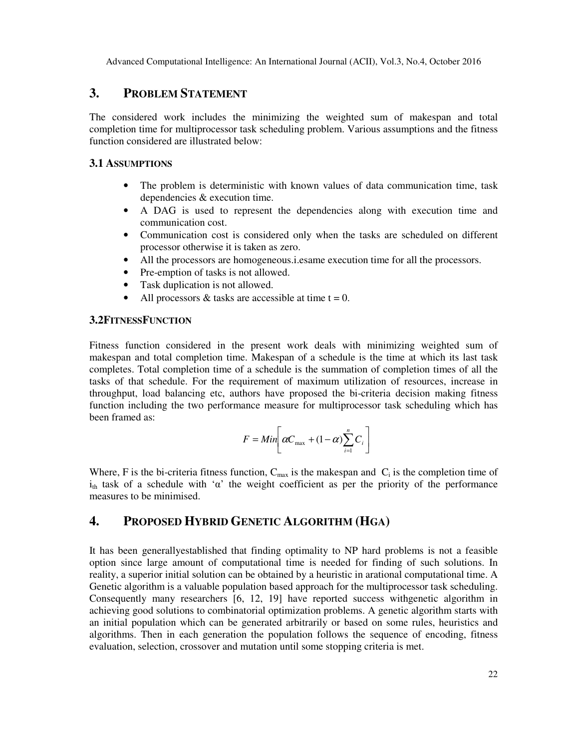## **3. PROBLEM STATEMENT**

The considered work includes the minimizing the weighted sum of makespan and total completion time for multiprocessor task scheduling problem. Various assumptions and the fitness function considered are illustrated below:

#### **3.1 ASSUMPTIONS**

- The problem is deterministic with known values of data communication time, task dependencies & execution time.
- A DAG is used to represent the dependencies along with execution time and communication cost.
- Communication cost is considered only when the tasks are scheduled on different processor otherwise it is taken as zero.
- All the processors are homogeneous.i.esame execution time for all the processors.
- Pre-emption of tasks is not allowed.
- Task duplication is not allowed.
- All processors  $&$  tasks are accessible at time  $t = 0$ .

#### **3.2FITNESSFUNCTION**

Fitness function considered in the present work deals with minimizing weighted sum of makespan and total completion time. Makespan of a schedule is the time at which its last task completes. Total completion time of a schedule is the summation of completion times of all the tasks of that schedule. For the requirement of maximum utilization of resources, increase in throughput, load balancing etc, authors have proposed the bi-criteria decision making fitness function including the two performance measure for multiprocessor task scheduling which has been framed as:

$$
F = Min \bigg[ \alpha C_{\text{max}} + (1 - \alpha) \sum_{i=1}^{n} C_i \bigg]
$$

Where, F is the bi-criteria fitness function,  $C_{\text{max}}$  is the makespan and  $C_i$  is the completion time of  $i_{th}$  task of a schedule with ' $\alpha$ ' the weight coefficient as per the priority of the performance measures to be minimised.

## **4. PROPOSED HYBRID GENETIC ALGORITHM (HGA)**

It has been generallyestablished that finding optimality to NP hard problems is not a feasible option since large amount of computational time is needed for finding of such solutions. In reality, a superior initial solution can be obtained by a heuristic in arational computational time. A Genetic algorithm is a valuable population based approach for the multiprocessor task scheduling. Consequently many researchers [6, 12, 19] have reported success withgenetic algorithm in achieving good solutions to combinatorial optimization problems. A genetic algorithm starts with an initial population which can be generated arbitrarily or based on some rules, heuristics and algorithms. Then in each generation the population follows the sequence of encoding, fitness evaluation, selection, crossover and mutation until some stopping criteria is met.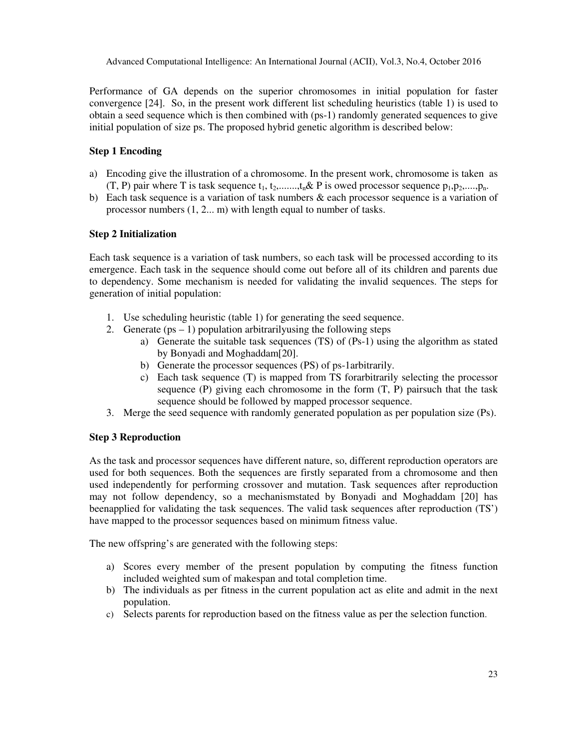Performance of GA depends on the superior chromosomes in initial population for faster convergence [24]. So, in the present work different list scheduling heuristics (table 1) is used to obtain a seed sequence which is then combined with (ps-1) randomly generated sequences to give initial population of size ps. The proposed hybrid genetic algorithm is described below:

## **Step 1 Encoding**

- a) Encoding give the illustration of a chromosome. In the present work, chromosome is taken as (T, P) pair where T is task sequence  $t_1, t_2, \ldots, t_n \& P$  is owed processor sequence  $p_1, p_2, \ldots, p_n$ .
- b) Each task sequence is a variation of task numbers & each processor sequence is a variation of processor numbers (1, 2... m) with length equal to number of tasks.

#### **Step 2 Initialization**

Each task sequence is a variation of task numbers, so each task will be processed according to its emergence. Each task in the sequence should come out before all of its children and parents due to dependency. Some mechanism is needed for validating the invalid sequences. The steps for generation of initial population:

- 1. Use scheduling heuristic (table 1) for generating the seed sequence.
- 2. Generate  $(ps 1)$  population arbitrarily using the following steps
	- a) Generate the suitable task sequences (TS) of (Ps-1) using the algorithm as stated by Bonyadi and Moghaddam[20].
	- b) Generate the processor sequences (PS) of ps-1arbitrarily.
	- c) Each task sequence (T) is mapped from TS forarbitrarily selecting the processor sequence  $(P)$  giving each chromosome in the form  $(T, P)$  pairsuch that the task sequence should be followed by mapped processor sequence.
- 3. Merge the seed sequence with randomly generated population as per population size (Ps).

#### **Step 3 Reproduction**

As the task and processor sequences have different nature, so, different reproduction operators are used for both sequences. Both the sequences are firstly separated from a chromosome and then used independently for performing crossover and mutation. Task sequences after reproduction may not follow dependency, so a mechanismstated by Bonyadi and Moghaddam [20] has beenapplied for validating the task sequences. The valid task sequences after reproduction (TS') have mapped to the processor sequences based on minimum fitness value.

The new offspring's are generated with the following steps:

- a) Scores every member of the present population by computing the fitness function included weighted sum of makespan and total completion time.
- b) The individuals as per fitness in the current population act as elite and admit in the next population.
- c) Selects parents for reproduction based on the fitness value as per the selection function.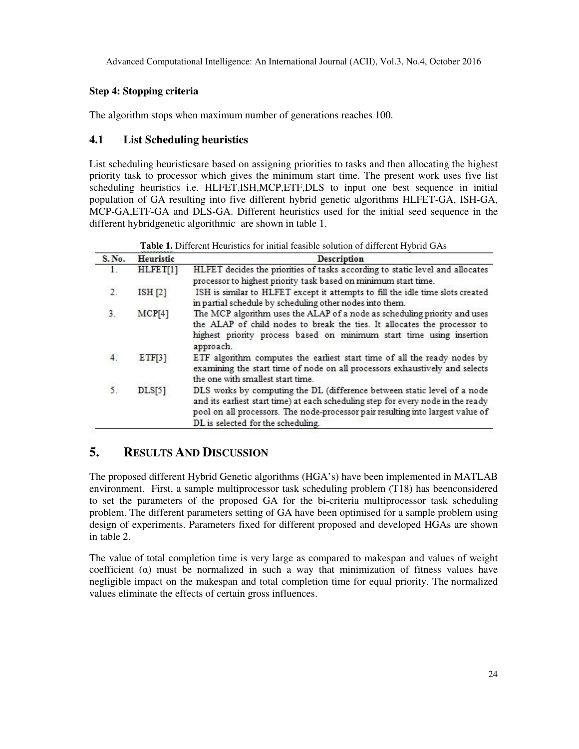## **Step 4: Stopping criteria**

The algorithm stops when maximum number of generations reaches 100.

## **4.1 List Scheduling heuristics**

List scheduling heuristicsare based on assigning priorities to tasks and then allocating the highest priority task to processor which gives the minimum start time. The present work uses five list scheduling heuristics i.e. HLFET,ISH,MCP,ETF,DLS to input one best sequence in initial population of GA resulting into five different hybrid genetic algorithms HLFET-GA, ISH-GA, MCP-GA,ETF-GA and DLS-GA. Different heuristics used for the initial seed sequence in the different hybridgenetic algorithmic are shown in table 1.

| S. No.           | <b>Heuristic</b><br>HLFET[1] | <b>Description</b>                                                                                                                                                                                                                                                                    |  |  |  |  |  |  |
|------------------|------------------------------|---------------------------------------------------------------------------------------------------------------------------------------------------------------------------------------------------------------------------------------------------------------------------------------|--|--|--|--|--|--|
|                  |                              | HLFET decides the priorities of tasks according to static level and allocates<br>processor to highest priority task based on minimum start time.                                                                                                                                      |  |  |  |  |  |  |
| $\overline{2}$ . | ISH <sub>[2]</sub>           | ISH is similar to HLFET except it attempts to fill the idle time slots created<br>in partial schedule by scheduling other nodes into them.                                                                                                                                            |  |  |  |  |  |  |
| 3.               | MCP[4]                       | The MCP algorithm uses the ALAP of a node as scheduling priority and uses<br>the ALAP of child nodes to break the ties. It allocates the processor to<br>highest priority process based on minimum start time using insertion<br>approach.                                            |  |  |  |  |  |  |
| 4.               | ETF[3]                       | ETF algorithm computes the earliest start time of all the ready nodes by<br>examining the start time of node on all processors exhaustively and selects<br>the one with smallest start time.                                                                                          |  |  |  |  |  |  |
| 5.               | $DIS[5]$                     | DLS works by computing the DL (difference between static level of a node<br>and its earliest start time) at each scheduling step for every node in the ready<br>pool on all processors. The node-processor pair resulting into largest value of<br>DL is selected for the scheduling. |  |  |  |  |  |  |

# **5. RESULTS AND DISCUSSION**

The proposed different Hybrid Genetic algorithms (HGA's) have been implemented in MATLAB environment. First, a sample multiprocessor task scheduling problem (T18) has beenconsidered to set the parameters of the proposed GA for the bi-criteria multiprocessor task scheduling problem. The different parameters setting of GA have been optimised for a sample problem using design of experiments. Parameters fixed for different proposed and developed HGAs are shown in table 2.

The value of total completion time is very large as compared to makespan and values of weight coefficient  $(\alpha)$  must be normalized in such a way that minimization of fitness values have negligible impact on the makespan and total completion time for equal priority. The normalized values eliminate the effects of certain gross influences.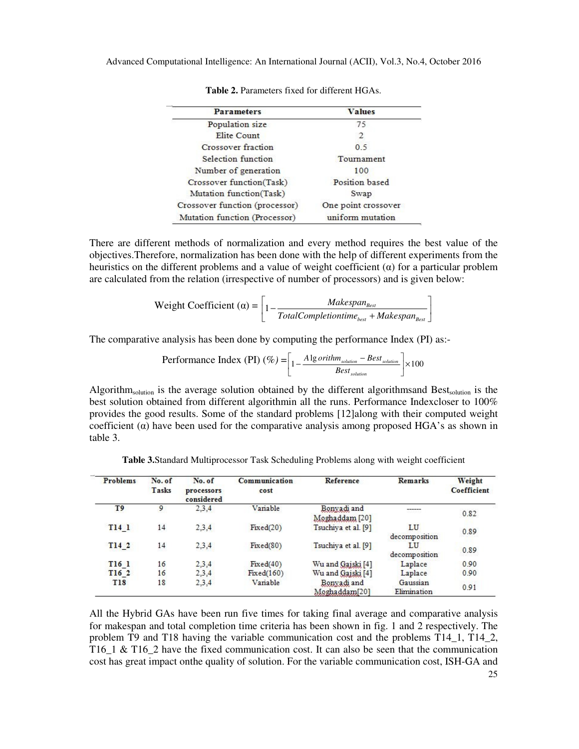| <b>Parameters</b>              | <b>Values</b>       |  |
|--------------------------------|---------------------|--|
| Population size                | 75                  |  |
| <b>Elite Count</b>             | 2                   |  |
| Crossover fraction             | 0.5                 |  |
| Selection function             | Tournament          |  |
| Number of generation           | 100                 |  |
| Crossover function(Task)       | Position based      |  |
| Mutation function(Task)        | Swap                |  |
| Crossover function (processor) | One point crossover |  |
| Mutation function (Processor)  | uniform mutation    |  |

**Table 2.** Parameters fixed for different HGAs.

There are different methods of normalization and every method requires the best value of the objectives.Therefore, normalization has been done with the help of different experiments from the heuristics on the different problems and a value of weight coefficient  $(\alpha)$  for a particular problem are calculated from the relation (irrespective of number of processors) and is given below:

Weight Coefficient (a) = 
$$
\left[1 - \frac{Makespan_{Best}}{TotalCompletion time_{best} + Makespan_{Best}}\right]
$$

The comparative analysis has been done by computing the performance Index (PI) as:-

Performance Index (PI) 
$$
(\%) = \left[1 - \frac{Alg\,orithm_{solution} - Best_{solution}}{Best_{solution}}\right] \times 100
$$

Algorithm<sub>solution</sub> is the average solution obtained by the different algorithmsand Best<sub>solution</sub> is the best solution obtained from different algorithmin all the runs. Performance Indexcloser to 100% provides the good results. Some of the standard problems [12]along with their computed weight coefficient  $(\alpha)$  have been used for the comparative analysis among proposed HGA's as shown in table 3.

| <b>Problems</b> | No. of<br>Tasks | No. of<br>processors<br>considered | Communication<br>cost                                                          | Reference                                  | Remarks | Weight<br><b>Coefficient</b> |
|-----------------|-----------------|------------------------------------|--------------------------------------------------------------------------------|--------------------------------------------|---------|------------------------------|
| T9              | 9               | 2,3,4                              | Variable<br>Bonyadi and<br>------<br>Moghaddam <sup>[20]</sup>                 |                                            |         | 0.82                         |
| T141            | 14              | 2,3,4                              | Fixed(20)                                                                      | LU<br>Tsuchiya et al. [9]<br>decomposition |         | 0.89                         |
| T14 2           | 14              | 2,3,4                              | Fixed(80)                                                                      | Tsuchiya et al. [9]<br>LU<br>decomposition |         | 0.89                         |
| T16 1           | 16              | 2,3,4                              | Fixed(40)                                                                      | Wu and Gaiski [4]<br>Laplace               |         | 0.90                         |
| T16 2           | 16              | 2.3.4                              | Fixed(160)                                                                     | Wu and Gaiski [4]<br>Laplace               |         | 0.90                         |
| T <sub>18</sub> | 18              | 2,3,4                              | Vanable<br>Bonyadi and<br>Gaussian<br>Elimination<br>Moghaddam <sup>[20]</sup> |                                            | 0.91    |                              |

**Table 3.**Standard Multiprocessor Task Scheduling Problems along with weight coefficient

All the Hybrid GAs have been run five times for taking final average and comparative analysis for makespan and total completion time criteria has been shown in fig. 1 and 2 respectively. The problem T9 and T18 having the variable communication cost and the problems T14\_1, T14\_2, T16\_1 & T16\_2 have the fixed communication cost. It can also be seen that the communication cost has great impact onthe quality of solution. For the variable communication cost, ISH-GA and

J ٦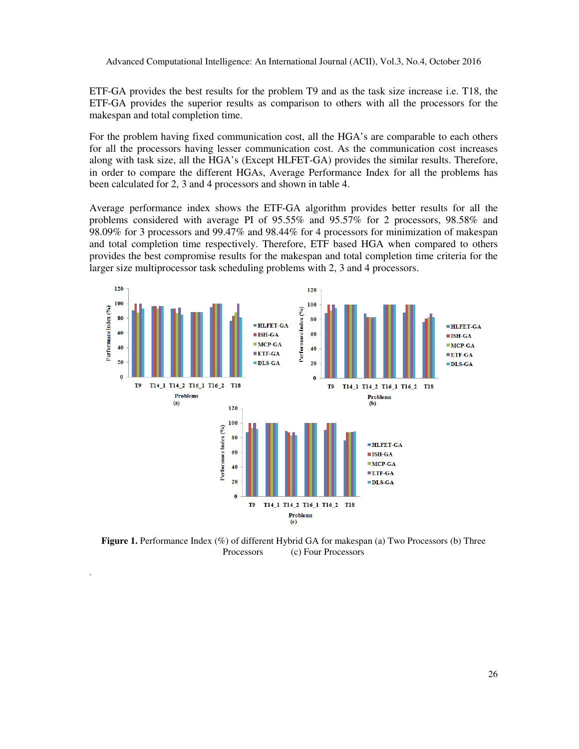ETF-GA provides the best results for the problem T9 and as the task size increase i.e. T18, the ETF-GA provides the superior results as comparison to others with all the processors for the makespan and total completion time.

For the problem having fixed communication cost, all the HGA's are comparable to each others for all the processors having lesser communication cost. As the communication cost increases along with task size, all the HGA's (Except HLFET-GA) provides the similar results. Therefore, in order to compare the different HGAs, Average Performance Index for all the problems has been calculated for 2, 3 and 4 processors and shown in table 4.

Average performance index shows the ETF-GA algorithm provides better results for all the problems considered with average PI of 95.55% and 95.57% for 2 processors, 98.58% and 98.09% for 3 processors and 99.47% and 98.44% for 4 processors for minimization of makespan and total completion time respectively. Therefore, ETF based HGA when compared to others provides the best compromise results for the makespan and total completion time criteria for the larger size multiprocessor task scheduling problems with 2, 3 and 4 processors.



**Figure 1.** Performance Index (%) of different Hybrid GA for makespan (a) Two Processors (b) Three Processors (c) Four Processors

.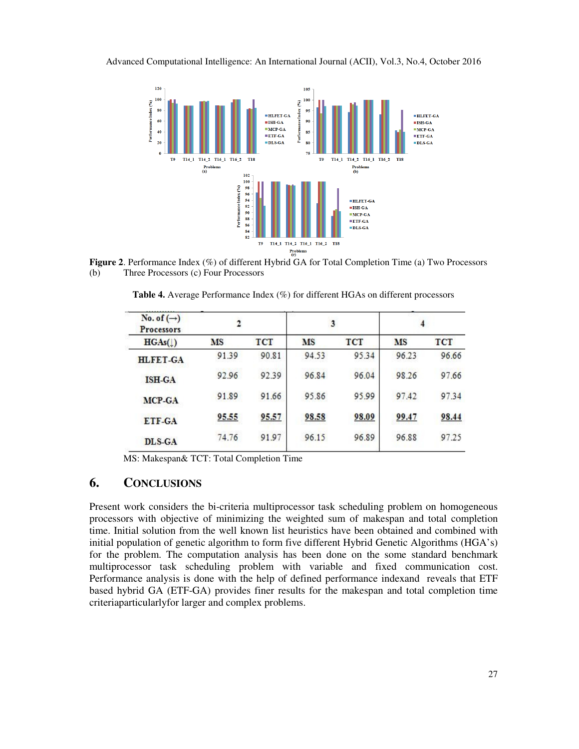



**Figure 2.** Performance Index (%) of different Hybrid GA for Total Completion Time (a) Two Processors (b) Three Processors (c) Four Processors (b) Three Processors (c) Four Processors

| No. of $(\rightarrow)$<br><b>Processors</b> |       |       | 3     |            |       |            |
|---------------------------------------------|-------|-------|-------|------------|-------|------------|
| HGAs()                                      | MS    | TCT   | MS    | <b>TCT</b> | MS    | <b>TCT</b> |
| <b>HLFET-GA</b>                             | 91.39 | 90.81 | 94.53 | 95.34      | 96.23 | 96.66      |
| <b>ISH-GA</b>                               | 92.96 | 92.39 | 96.84 | 96.04      | 98.26 | 97.66      |
| MCP-GA                                      | 91.89 | 91.66 | 95.86 | 95.99      | 97.42 | 97.34      |
| <b>ETF-GA</b>                               | 95.55 | 95.57 | 98.58 | 98.09      | 99.47 | 98.44      |
| <b>DLS-GA</b>                               | 74.76 | 91.97 | 96.15 | 96.89      | 96.88 | 97.25      |

**Table 4.** Average Performance Index (%) for different HGAs on different processors

MS: Makespan& TCT: Total Completion Time

## **6. CONCLUSIONS**

Present work considers the bi-criteria multiprocessor task scheduling problem on homogeneous processors with objective of minimizing the weighted sum of makespan and total completion time. Initial solution from the well known list heuristics have been obtained and combined with initial population of genetic algorithm to form five different Hybrid Genetic Algorithms (HGA's) for the problem. The computation analysis has been done on the some standard benchmark multiprocessor task scheduling problem with variable and fixed communication cost. Performance analysis is done with the help of defined performance indexand reveals that ETF based hybrid GA (ETF-GA) provides finer results for the makespan and total completion time criteriaparticularlyfor larger and complex problems.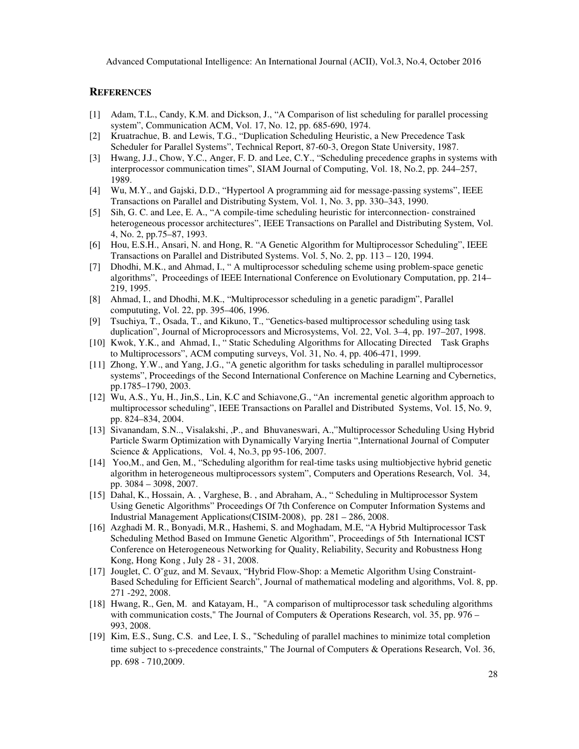#### **REFERENCES**

- [1] Adam, T.L., Candy, K.M. and Dickson, J., "A Comparison of list scheduling for parallel processing system", Communication ACM, Vol. 17, No. 12, pp. 685-690, 1974.
- [2] Kruatrachue, B. and Lewis, T.G., "Duplication Scheduling Heuristic, a New Precedence Task Scheduler for Parallel Systems", Technical Report, 87-60-3, Oregon State University, 1987.
- [3] Hwang, J.J., Chow, Y.C., Anger, F. D. and Lee, C.Y., "Scheduling precedence graphs in systems with interprocessor communication times", SIAM Journal of Computing, Vol. 18, No.2, pp. 244–257, 1989.
- [4] Wu, M.Y., and Gajski, D.D., "Hypertool A programming aid for message-passing systems", IEEE Transactions on Parallel and Distributing System, Vol. 1, No. 3, pp. 330–343, 1990.
- [5] Sih, G. C. and Lee, E. A., "A compile-time scheduling heuristic for interconnection- constrained heterogeneous processor architectures", IEEE Transactions on Parallel and Distributing System, Vol. 4, No. 2, pp.75–87, 1993.
- [6] Hou, E.S.H., Ansari, N. and Hong, R. "A Genetic Algorithm for Multiprocessor Scheduling", IEEE Transactions on Parallel and Distributed Systems. Vol. 5, No. 2, pp. 113 – 120, 1994.
- [7] Dhodhi, M.K., and Ahmad, I., " A multiprocessor scheduling scheme using problem-space genetic algorithms", Proceedings of IEEE International Conference on Evolutionary Computation, pp. 214– 219, 1995.
- [8] Ahmad, I., and Dhodhi, M.K., "Multiprocessor scheduling in a genetic paradigm", Parallel compututing, Vol. 22, pp. 395–406, 1996.
- [9] Tsuchiya, T., Osada, T., and Kikuno, T., "Genetics-based multiprocessor scheduling using task duplication", Journal of Microprocessors and Microsystems, Vol. 22, Vol. 3–4, pp. 197–207, 1998.
- [10] Kwok, Y.K., and Ahmad, I., " Static Scheduling Algorithms for Allocating Directed Task Graphs to Multiprocessors", ACM computing surveys, Vol. 31, No. 4, pp. 406-471, 1999.
- [11] Zhong, Y.W., and Yang, J.G., "A genetic algorithm for tasks scheduling in parallel multiprocessor systems", Proceedings of the Second International Conference on Machine Learning and Cybernetics, pp.1785–1790, 2003.
- [12] Wu, A.S., Yu, H., Jin,S., Lin, K.C and Schiavone,G., "An incremental genetic algorithm approach to multiprocessor scheduling", IEEE Transactions on Parallel and Distributed Systems, Vol. 15, No. 9, pp. 824–834, 2004.
- [13] Sivanandam, S.N.., Visalakshi, ,P., and Bhuvaneswari, A.,"Multiprocessor Scheduling Using Hybrid Particle Swarm Optimization with Dynamically Varying Inertia ",International Journal of Computer Science & Applications, Vol. 4, No.3, pp 95-106, 2007.
- [14] Yoo,M., and Gen, M., "Scheduling algorithm for real-time tasks using multiobjective hybrid genetic algorithm in heterogeneous multiprocessors system", Computers and Operations Research, Vol. 34, pp. 3084 – 3098, 2007.
- [15] Dahal, K., Hossain, A. , Varghese, B. , and Abraham, A., " Scheduling in Multiprocessor System Using Genetic Algorithms" Proceedings Of 7th Conference on Computer Information Systems and Industrial Management Applications(CISIM-2008), pp. 281 – 286, 2008.
- [16] Azghadi M. R., Bonyadi, M.R., Hashemi, S. and Moghadam, M.E, "A Hybrid Multiprocessor Task Scheduling Method Based on Immune Genetic Algorithm", Proceedings of 5th International ICST Conference on Heterogeneous Networking for Quality, Reliability, Security and Robustness Hong Kong, Hong Kong , July 28 - 31, 2008.
- [17] Jouglet, C. O˘guz, and M. Sevaux, "Hybrid Flow-Shop: a Memetic Algorithm Using Constraint-Based Scheduling for Efficient Search", Journal of mathematical modeling and algorithms, Vol. 8, pp. 271 -292, 2008.
- [18] Hwang, R., Gen, M. and Katayam, H., "A comparison of multiprocessor task scheduling algorithms with communication costs," The Journal of Computers & Operations Research, vol. 35, pp. 976 – 993, 2008.
- [19] Kim, E.S., Sung, C.S. and Lee, I. S., "Scheduling of parallel machines to minimize total completion time subject to s-precedence constraints," The Journal of Computers & Operations Research, Vol. 36, pp. 698 - 710,2009.